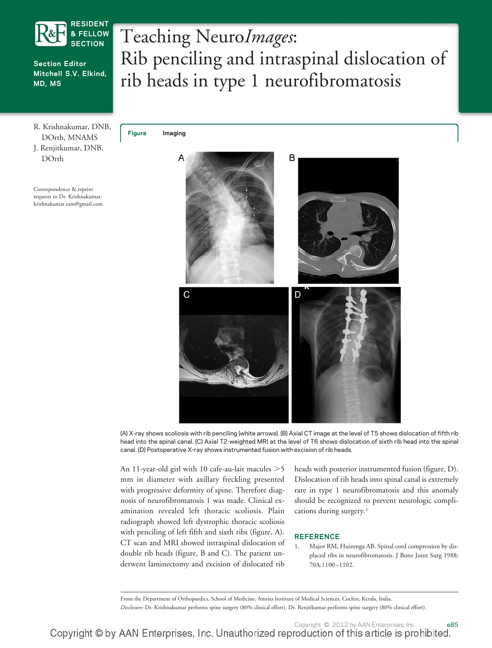

**Section Editor Mitchell S.V. Elkind, MD, MS**

R. Krishnakumar, DNB, DOrth, MNAMS J. Renjitkumar, DNB, DOrth

Correspondence & reprint requests to Dr. Krishnakumar: krishnakumar.ram@gmail.com Teaching Neuro*Images*: Rib penciling and intraspinal dislocation of rib heads in type 1 neurofibromatosis

**Figure Imaging**



(A) X-ray shows scoliosis with rib penciling (white arrows). (B) Axial CT image at the level of T5 shows dislocation of fifth rib head into the spinal canal. (C) Axial T2-weighted MRI at the level of T6 shows dislocation of sixth rib head into the spinal canal. (D) Postoperative X-ray shows instrumented fusion with excision of rib heads.

An 11-year-old girl with 10 cafe-au-lait macules  $>5$ mm in diameter with axillary freckling presented with progressive deformity of spine. Therefore diagnosis of neurofibromatosis 1 was made. Clinical examination revealed left thoracic scoliosis. Plain radiograph showed left dystrophic thoracic scoliosis with penciling of left fifth and sixth ribs (figure, A). CT scan and MRI showed intraspinal dislocation of double rib heads (figure, B and C). The patient underwent laminectomy and excision of dislocated rib

heads with posterior instrumented fusion (figure, D). Dislocation of rib heads into spinal canal is extremely rare in type 1 neurofibromatosis and this anomaly should be recognized to prevent neurologic complications during surgery.<sup>1</sup>

## **REFERENCE**

1. Major RM, Huizenga AB. Spinal cord compression by displaced ribs in neurofibromatosis. J Bone Joint Surg 1988; 70A:1100 –1102.

From the Department of Orthopaedics, School of Medicine, Amrita Institute of Medical Sciences, Cochin, Kerala, India.

*Disclosure:* Dr. Krishnakumar performs spine surgery (80% clinical effort). Dr. Renjitkumar performs spine surgery (80% clinical effort).

Copyright © by AAN Enterprises, Inc. Unauthorized reproduction of this article is prohibited.